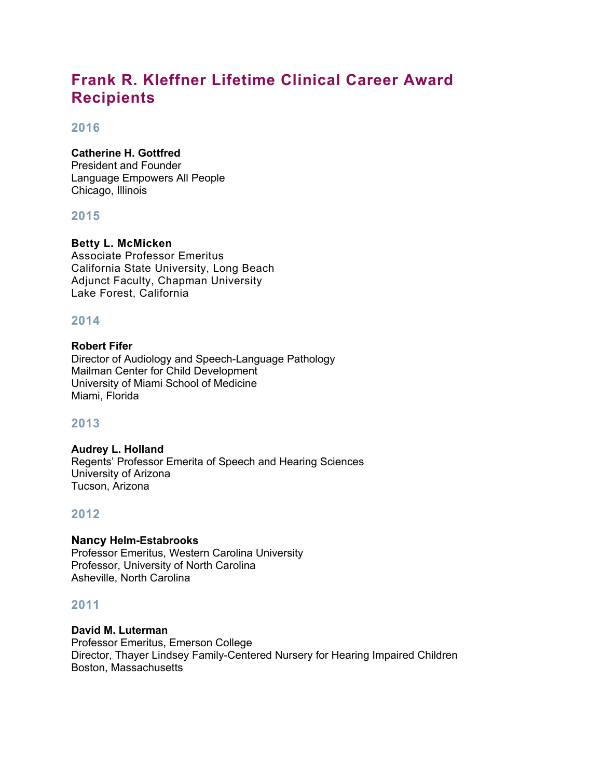# **Frank R. Kleffner Lifetime Clinical Career Award Recipients**

### **2016**

### **Catherine H. Gottfred**

President and Founder Language Empowers All People Chicago, Illinois

# **2015**

# **Betty L. McMicken**

Associate Professor Emeritus California State University, Long Beach Adjunct Faculty, Chapman University Lake Forest, California

# **2014**

### **Robert Fifer**

Director of Audiology and Speech-Language Pathology Mailman Center for Child Development University of Miami School of Medicine Miami, Florida

# **2013**

#### **Audrey L. Holland** Regents' Professor Emerita of Speech and Hearing Sciences University of Arizona Tucson, Arizona

### **2012**

**Nancy Helm-Estabrooks** Professor Emeritus, Western Carolina University Professor, University of North Carolina Asheville, North Carolina

# **2011**

**David M. Luterman** Professor Emeritus, Emerson College Director, Thayer Lindsey Family-Centered Nursery for Hearing Impaired Children Boston, Massachusetts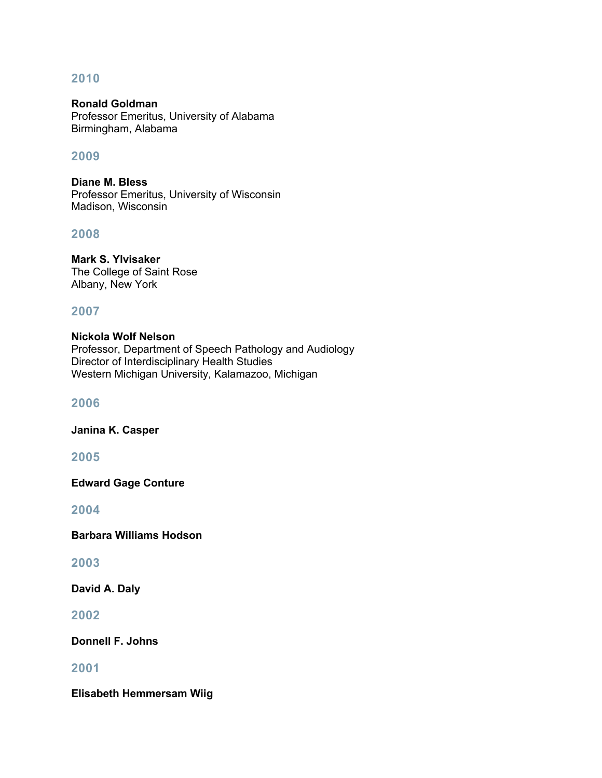### **2010**

**Ronald Goldman** Professor Emeritus, University of Alabama Birmingham, Alabama

### **2009**

**Diane M. Bless** Professor Emeritus, University of Wisconsin Madison, Wisconsin

### **2008**

**Mark S. Ylvisaker** The College of Saint Rose Albany, New York

### **2007**

**Nickola Wolf Nelson** Professor, Department of Speech Pathology and Audiology Director of Interdisciplinary Health Studies Western Michigan University, Kalamazoo, Michigan

#### **2006**

**Janina K. Casper**

**2005**

**Edward Gage Conture**

**2004**

**Barbara Williams Hodson**

### **2003**

**David A. Daly**

**2002**

**Donnell F. Johns**

### **2001**

**Elisabeth Hemmersam Wiig**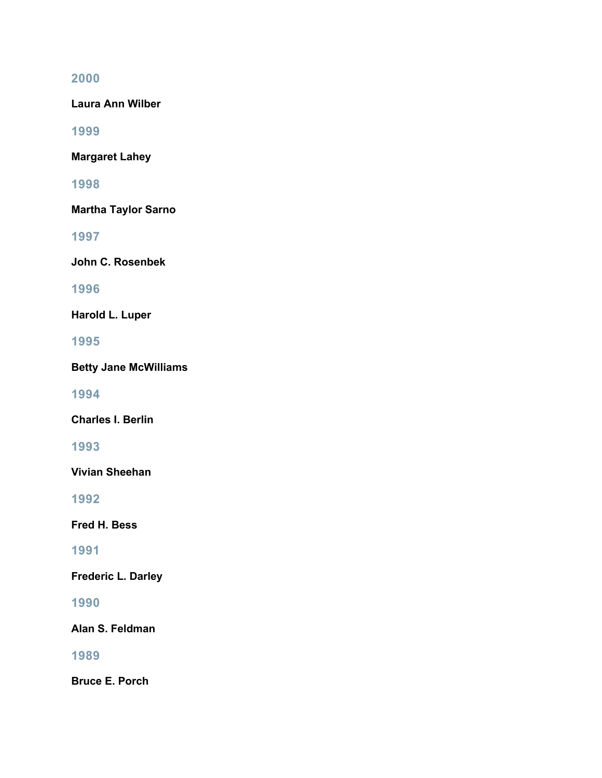# **2000**

**Laura Ann Wilber**

**1999**

**Margaret Lahey**

**1998**

**Martha Taylor Sarno**

**1997**

**John C. Rosenbek**

**1996**

**Harold L. Luper**

**1995**

**Betty Jane McWilliams**

**1994**

**Charles I. Berlin**

**1993**

**Vivian Sheehan**

**1992**

**Fred H. Bess**

**1991**

**Frederic L. Darley**

**1990**

**Alan S. Feldman**

**1989**

**Bruce E. Porch**